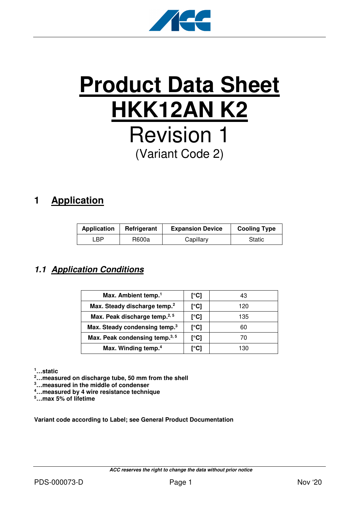

# **Product Data Sheet HKK12AN K2** Revision 1 (Variant Code 2)

# **1 Application**

| <b>Application</b> | Refrigerant | <b>Expansion Device</b> | <b>Cooling Type</b> |  |  |
|--------------------|-------------|-------------------------|---------------------|--|--|
| .BP                | R600a       | Capillary               | Static              |  |  |

### **1.1 Application Conditions**

| Max. Ambient temp. <sup>1</sup>            | [°C] | 43  |
|--------------------------------------------|------|-----|
| Max. Steady discharge temp. <sup>2</sup>   | [°C] | 120 |
| Max. Peak discharge temp. <sup>2, 5</sup>  | [°C] | 135 |
| Max. Steady condensing temp. <sup>3</sup>  | [°C] | 60  |
| Max. Peak condensing temp. <sup>3, 5</sup> | [°C] | 70  |
| Max. Winding temp. <sup>4</sup>            | r°C1 | 130 |

**<sup>1</sup>…static** 

**<sup>2</sup>…measured on discharge tube, 50 mm from the shell** 

- **<sup>3</sup>…measured in the middle of condenser**
- **<sup>4</sup>…measured by 4 wire resistance technique**

**<sup>5</sup>…max 5% of lifetime** 

**Variant code according to Label; see General Product Documentation**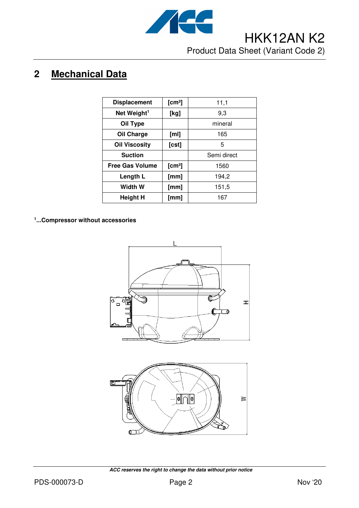

# **2 Mechanical Data**

| <b>Displacement</b>     | [cm <sup>3</sup> ] | 11,1        |
|-------------------------|--------------------|-------------|
| Net Weight <sup>1</sup> | [kg]               | 9,3         |
| Oil Type                |                    | mineral     |
| Oil Charge              | [ml]               | 165         |
| <b>Oil Viscosity</b>    | $[{\sf cst}]$      | 5           |
| <b>Suction</b>          |                    | Semi direct |
| <b>Free Gas Volume</b>  | [cm <sup>3</sup> ] | 1560        |
| Length L                | [mm]               | 194,2       |
| <b>Width W</b>          | [mm]               | 151,5       |
| <b>Height H</b>         | [mm]               | 167         |

**1 ...Compressor without accessories**





 **ACC reserves the right to change the data without prior notice**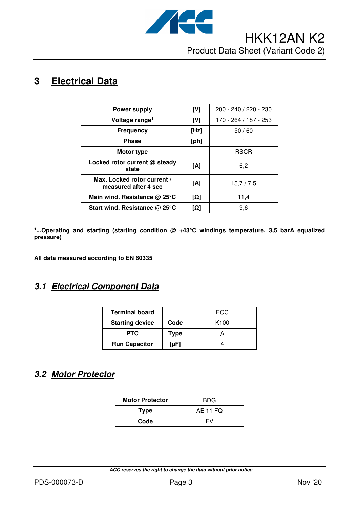

# **3 Electrical Data**

| <b>Power supply</b>                                 | [V]  | 200 - 240 / 220 - 230 |
|-----------------------------------------------------|------|-----------------------|
| Voltage range <sup>1</sup>                          | [V]  | 170 - 264 / 187 - 253 |
| <b>Frequency</b>                                    | [Hz] | 50/60                 |
| <b>Phase</b>                                        | [ph] |                       |
| Motor type                                          |      | <b>RSCR</b>           |
| Locked rotor current @ steady<br>state              | [A]  | 6,2                   |
| Max. Locked rotor current /<br>measured after 4 sec | [A]  | 15,7/7,5              |
| Main wind. Resistance $@$ 25 $°C$                   | [Ω]  | 11,4                  |
| Start wind. Resistance $@$ 25 $°C$                  | [Ω]  | 9,6                   |

**1 ...Operating and starting (starting condition @ +43°C windings temperature, 3,5 barA equalized pressure)** 

**All data measured according to EN 60335** 

### **3.1 Electrical Component Data**

| <b>Terminal board</b>  |             | ECC              |
|------------------------|-------------|------------------|
| <b>Starting device</b> | Code        | K <sub>100</sub> |
| <b>PTC</b>             | <b>Type</b> |                  |
| <b>Run Capacitor</b>   | $[\mu F]$   |                  |

### **3.2 Motor Protector**

| <b>Motor Protector</b> | BDG.            |  |  |
|------------------------|-----------------|--|--|
| <b>Type</b>            | <b>AE 11 FQ</b> |  |  |
| Code                   | FV              |  |  |

 **ACC reserves the right to change the data without prior notice**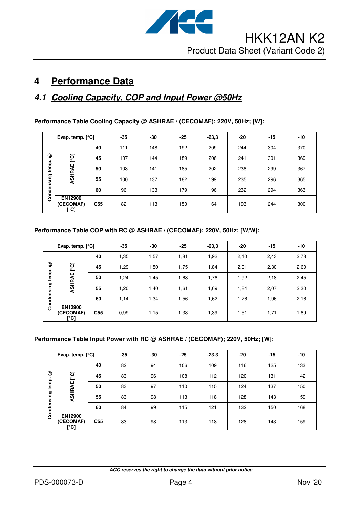

# **4 Performance Data**

## **4.1 Cooling Capacity, COP and Input Power @50Hz**

| Performance Table Cooling Capacity @ ASHRAE / (CECOMAF); 220V, 50Hz; [W]: |  |
|---------------------------------------------------------------------------|--|
|---------------------------------------------------------------------------|--|

| Evap. temp. $[°C]$       |                                     | $-35$           | -30 | $-25$ | $-23,3$ | -20 | $-15$ | $-10$ |     |
|--------------------------|-------------------------------------|-----------------|-----|-------|---------|-----|-------|-------|-----|
| ☺<br>temp.<br>Condensing |                                     | 40              | 111 | 148   | 192     | 209 | 244   | 304   | 370 |
|                          | ုတ္                                 | 45              | 107 | 144   | 189     | 206 | 241   | 301   | 369 |
|                          | ASHRAE                              | 50              | 103 | 141   | 185     | 202 | 238   | 299   | 367 |
|                          |                                     | 55              | 100 | 137   | 182     | 199 | 235   | 296   | 365 |
|                          |                                     | 60              | 96  | 133   | 179     | 196 | 232   | 294   | 363 |
|                          | <b>EN12900</b><br>(CECOMAF)<br>[°C] | C <sub>55</sub> | 82  | 113   | 150     | 164 | 193   | 244   | 300 |

#### **Performance Table COP with RC @ ASHRAE / (CECOMAF); 220V, 50Hz; [W/W]:**

| Evap. temp. $[°C]$       |                                     | $-35$           | -30  | $-25$ | $-23,3$ | -20  | $-15$ | $-10$ |      |
|--------------------------|-------------------------------------|-----------------|------|-------|---------|------|-------|-------|------|
| ☺<br>temp.<br>Condensing |                                     | 40              | 1,35 | 1,57  | 1,81    | 1,92 | 2,10  | 2,43  | 2,78 |
|                          | ု့ငျ                                | 45              | 1,29 | 1,50  | 1,75    | 1,84 | 2,01  | 2,30  | 2,60 |
|                          | ASHRAE                              | 50              | 1,24 | 1,45  | 1,68    | 1,76 | 1,92  | 2,18  | 2,45 |
|                          |                                     | 55              | 1,20 | 1,40  | 1,61    | 1,69 | 1,84  | 2,07  | 2,30 |
|                          |                                     | 60              | 1,14 | 1,34  | 1,56    | 1,62 | 1,76  | 1,96  | 2,16 |
|                          | <b>EN12900</b><br>(CECOMAF)<br>[°C] | C <sub>55</sub> | 0.99 | 1,15  | 1,33    | 1,39 | 1,51  | 1,71  | 1,89 |

#### **Performance Table Input Power with RC @ ASHRAE / (CECOMAF); 220V, 50Hz; [W]:**

| Evap. temp. $[°C]$                         |                                     | $-35$           | -30 | $-25$ | $-23,3$ | -20 | $-15$ | $-10$ |     |
|--------------------------------------------|-------------------------------------|-----------------|-----|-------|---------|-----|-------|-------|-----|
| ☺<br>ုင္င<br>temp.<br>ASHRAE<br>Condensing |                                     | 40              | 82  | 94    | 106     | 109 | 116   | 125   | 133 |
|                                            |                                     | 45              | 83  | 96    | 108     | 112 | 120   | 131   | 142 |
|                                            |                                     | 50              | 83  | 97    | 110     | 115 | 124   | 137   | 150 |
|                                            |                                     | 55              | 83  | 98    | 113     | 118 | 128   | 143   | 159 |
|                                            |                                     | 60              | 84  | 99    | 115     | 121 | 132   | 150   | 168 |
|                                            | <b>EN12900</b><br>(CECOMAF)<br>[°C] | C <sub>55</sub> | 83  | 98    | 113     | 118 | 128   | 143   | 159 |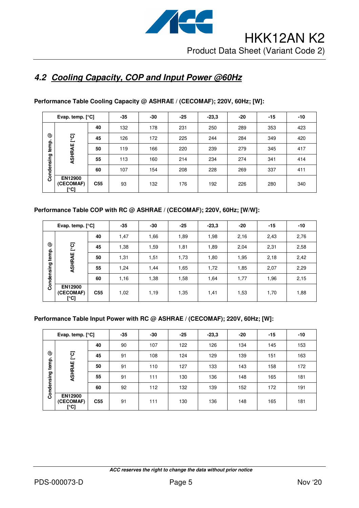

### **4.2 Cooling Capacity, COP and Input Power @60Hz**

| Evap. temp. $[°C]$  |                                     | $-35$           | $-30$ | $-25$ | $-23,3$ | -20 | $-15$ | $-10$ |     |
|---------------------|-------------------------------------|-----------------|-------|-------|---------|-----|-------|-------|-----|
|                     |                                     | 40              | 132   | 178   | 231     | 250 | 289   | 353   | 423 |
| ☺                   | ုတ္                                 | 45              | 126   | 172   | 225     | 244 | 284   | 349   | 420 |
| temp.<br>Condensing | ASHRAE                              | 50              | 119   | 166   | 220     | 239 | 279   | 345   | 417 |
|                     |                                     | 55              | 113   | 160   | 214     | 234 | 274   | 341   | 414 |
|                     |                                     | 60              | 107   | 154   | 208     | 228 | 269   | 337   | 411 |
|                     | <b>EN12900</b><br>(CECOMAF)<br>[°C] | C <sub>55</sub> | 93    | 132   | 176     | 192 | 226   | 280   | 340 |

#### **Performance Table Cooling Capacity @ ASHRAE / (CECOMAF); 220V, 60Hz; [W]:**

#### **Performance Table COP with RC @ ASHRAE / (CECOMAF); 220V, 60Hz; [W/W]:**

| Evap. temp. $[°C]$ |                                     | $-35$           | $-30$ | $-25$ | $-23,3$ | $-20$ | $-15$ | $-10$ |      |
|--------------------|-------------------------------------|-----------------|-------|-------|---------|-------|-------|-------|------|
| ☺<br>temp.         | ုတ္ပ<br>ASHRAE                      | 40              | 1,47  | 1,66  | 1,89    | 1,98  | 2,16  | 2,43  | 2,76 |
|                    |                                     | 45              | 1,38  | 1,59  | 1,81    | 1,89  | 2,04  | 2,31  | 2,58 |
|                    |                                     | 50              | 1,31  | 1,51  | 1,73    | 1,80  | 1,95  | 2,18  | 2,42 |
|                    |                                     | 55              | 1,24  | 1,44  | 1,65    | 1,72  | 1,85  | 2,07  | 2,29 |
| Condensing         |                                     | 60              | 1,16  | 1,38  | 1,58    | 1,64  | 1,77  | 1,96  | 2,15 |
|                    | <b>EN12900</b><br>(CECOMAF)<br>[°C] | C <sub>55</sub> | 1,02  | 1,19  | 1,35    | 1,41  | 1,53  | 1,70  | 1,88 |

#### **Performance Table Input Power with RC @ ASHRAE / (CECOMAF); 220V, 60Hz; [W]:**

| Evap. temp. $[°C]$       |                                     |                 | $-35$ | -30 | $-25$ | $-23,3$ | $-20$ | $-15$ | $-10$ |
|--------------------------|-------------------------------------|-----------------|-------|-----|-------|---------|-------|-------|-------|
| ☺<br>temp.<br>Condensing | ုင္<br>ASHRAE                       | 40              | 90    | 107 | 122   | 126     | 134   | 145   | 153   |
|                          |                                     | 45              | 91    | 108 | 124   | 129     | 139   | 151   | 163   |
|                          |                                     | 50              | 91    | 110 | 127   | 133     | 143   | 158   | 172   |
|                          |                                     | 55              | 91    | 111 | 130   | 136     | 148   | 165   | 181   |
|                          |                                     | 60              | 92    | 112 | 132   | 139     | 152   | 172   | 191   |
|                          | <b>EN12900</b><br>(CECOMAF)<br>[°C] | C <sub>55</sub> | 91    | 111 | 130   | 136     | 148   | 165   | 181   |